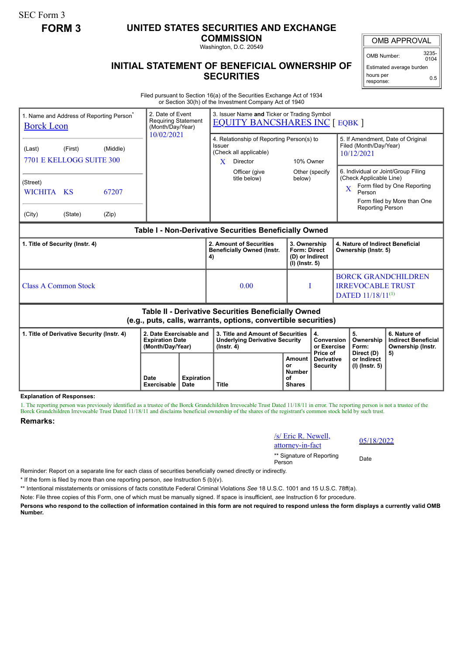SEC Form 3

## **FORM 3 UNITED STATES SECURITIES AND EXCHANGE**

**COMMISSION**

Washington, D.C. 20549

## **INITIAL STATEMENT OF BENEFICIAL OWNERSHIP OF SECURITIES**

OMB APPROVAL

OMB Number: 3235-  $0104$ 

Estimated average burden hours per response: 0.5

Filed pursuant to Section 16(a) of the Securities Exchange Act of 1934 or Section 30(h) of the Investment Company Act of 1940

| 1. Name and Address of Reporting Person <sup>®</sup><br><b>Borck Leon</b>                                             |         |                     | 2. Date of Event<br><b>Requiring Statement</b><br>(Month/Day/Year)    |              | 3. Issuer Name and Ticker or Trading Symbol<br><b>EQUITY BANCSHARES INC [ EQBK ]</b>                         |                                                                            |                                                                                     |                                                                                                |                                                                                                                                                                                            |                                                                       |  |
|-----------------------------------------------------------------------------------------------------------------------|---------|---------------------|-----------------------------------------------------------------------|--------------|--------------------------------------------------------------------------------------------------------------|----------------------------------------------------------------------------|-------------------------------------------------------------------------------------|------------------------------------------------------------------------------------------------|--------------------------------------------------------------------------------------------------------------------------------------------------------------------------------------------|-----------------------------------------------------------------------|--|
| (Middle)<br>(First)<br>(Last)<br>7701 E KELLOGG SUITE 300                                                             |         |                     | 10/02/2021                                                            |              | 4. Relationship of Reporting Person(s) to<br>Issuer<br>(Check all applicable)<br>10% Owner<br>X.<br>Director |                                                                            |                                                                                     | 5. If Amendment, Date of Original<br>Filed (Month/Day/Year)<br>10/12/2021                      |                                                                                                                                                                                            |                                                                       |  |
| (Street)<br>WICHITA KS<br>(City)                                                                                      | (State) | 67207<br>(Zip)      |                                                                       |              | Officer (give<br>title below)                                                                                | below)                                                                     | Other (specify                                                                      |                                                                                                | 6. Individual or Joint/Group Filing<br>(Check Applicable Line)<br>Form filed by One Reporting<br>$\overline{\text{X}}$<br>Person<br>Form filed by More than One<br><b>Reporting Person</b> |                                                                       |  |
| Table I - Non-Derivative Securities Beneficially Owned                                                                |         |                     |                                                                       |              |                                                                                                              |                                                                            |                                                                                     |                                                                                                |                                                                                                                                                                                            |                                                                       |  |
| 1. Title of Security (Instr. 4)                                                                                       |         |                     |                                                                       | 4)           | 2. Amount of Securities<br><b>Beneficially Owned (Instr.</b>                                                 | 3. Ownership<br><b>Form: Direct</b><br>(D) or Indirect<br>$(I)$ (Instr. 5) |                                                                                     | 4. Nature of Indirect Beneficial<br>Ownership (Instr. 5)                                       |                                                                                                                                                                                            |                                                                       |  |
| <b>Class A Common Stock</b>                                                                                           |         |                     |                                                                       |              | 0.00                                                                                                         | I                                                                          |                                                                                     | <b>BORCK GRANDCHILDREN</b><br><b>IRREVOCABLE TRUST</b><br><b>DATED</b> 11/18/11 <sup>(1)</sup> |                                                                                                                                                                                            |                                                                       |  |
| Table II - Derivative Securities Beneficially Owned<br>(e.g., puts, calls, warrants, options, convertible securities) |         |                     |                                                                       |              |                                                                                                              |                                                                            |                                                                                     |                                                                                                |                                                                                                                                                                                            |                                                                       |  |
| 1. Title of Derivative Security (Instr. 4)                                                                            |         |                     | 2. Date Exercisable and<br><b>Expiration Date</b><br>(Month/Day/Year) |              | 3. Title and Amount of Securities<br><b>Underlying Derivative Security</b><br>(Instr. 4)                     |                                                                            | 4.<br>Conversion<br>or Exercise<br>Price of<br><b>Derivative</b><br><b>Security</b> |                                                                                                | 5.<br>Ownership<br>Form:<br>Direct (D)                                                                                                                                                     | 6. Nature of<br><b>Indirect Beneficial</b><br>Ownership (Instr.<br>5) |  |
|                                                                                                                       |         | Date<br>Exercisable | <b>Expiration</b><br>Date                                             | <b>Title</b> | Amount<br>or<br><b>Number</b><br>οf<br><b>Shares</b>                                                         | or Indirect<br>$(I)$ (lnstr. 5)                                            |                                                                                     |                                                                                                |                                                                                                                                                                                            |                                                                       |  |

**Explanation of Responses:**

1. The reporting person was previously identified as a trustee of the Borck Grandchildren Irrevocable Trust Dated 11/18/11 in error. The reporting person is not a trustee of the Borck Grandchildren Irrevocable Trust Dated 11/18/11 and disclaims beneficial ownership of the shares of the registrant's common stock held by such trust.

## **Remarks:**

/s/ Eric R. Newell,  $\frac{S}{2}$  EHC R. Newell,  $\frac{05}{18/2022}$  attorney-in-fact \*\* Signature of Reporting <sub>Date</sub><br>Person

Reminder: Report on a separate line for each class of securities beneficially owned directly or indirectly.

\* If the form is filed by more than one reporting person, *see* Instruction 5 (b)(v).

\*\* Intentional misstatements or omissions of facts constitute Federal Criminal Violations *See* 18 U.S.C. 1001 and 15 U.S.C. 78ff(a).

Note: File three copies of this Form, one of which must be manually signed. If space is insufficient, *see* Instruction 6 for procedure.

**Persons who respond to the collection of information contained in this form are not required to respond unless the form displays a currently valid OMB Number.**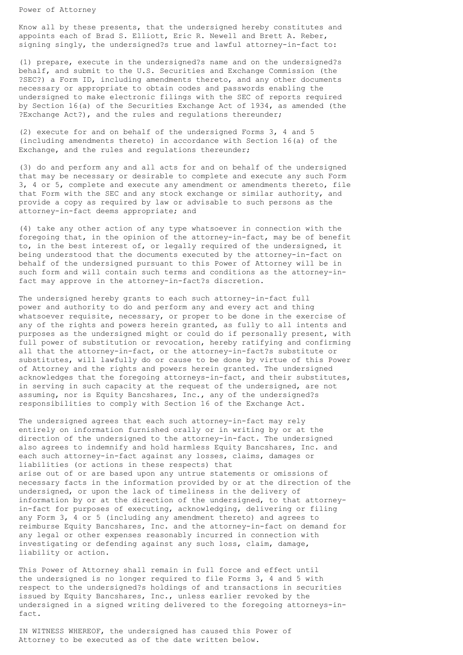Power of Attorney

Know all by these presents, that the undersigned hereby constitutes and appoints each of Brad S. Elliott, Eric R. Newell and Brett A. Reber, signing singly, the undersigned?s true and lawful attorney-in-fact to:

(1) prepare, execute in the undersigned?s name and on the undersigned?s behalf, and submit to the U.S. Securities and Exchange Commission (the ?SEC?) a Form ID, including amendments thereto, and any other documents necessary or appropriate to obtain codes and passwords enabling the undersigned to make electronic filings with the SEC of reports required by Section 16(a) of the Securities Exchange Act of 1934, as amended (the ?Exchange Act?), and the rules and regulations thereunder;

(2) execute for and on behalf of the undersigned Forms 3, 4 and 5 (including amendments thereto) in accordance with Section 16(a) of the Exchange, and the rules and regulations thereunder;

(3) do and perform any and all acts for and on behalf of the undersigned that may be necessary or desirable to complete and execute any such Form 3, 4 or 5, complete and execute any amendment or amendments thereto, file that Form with the SEC and any stock exchange or similar authority, and provide a copy as required by law or advisable to such persons as the attorney-in-fact deems appropriate; and

(4) take any other action of any type whatsoever in connection with the foregoing that, in the opinion of the attorney-in-fact, may be of benefit to, in the best interest of, or legally required of the undersigned, it being understood that the documents executed by the attorney-in-fact on behalf of the undersigned pursuant to this Power of Attorney will be in such form and will contain such terms and conditions as the attorney-infact may approve in the attorney-in-fact?s discretion.

The undersigned hereby grants to each such attorney-in-fact full power and authority to do and perform any and every act and thing whatsoever requisite, necessary, or proper to be done in the exercise of any of the rights and powers herein granted, as fully to all intents and purposes as the undersigned might or could do if personally present, with full power of substitution or revocation, hereby ratifying and confirming all that the attorney-in-fact, or the attorney-in-fact?s substitute or substitutes, will lawfully do or cause to be done by virtue of this Power of Attorney and the rights and powers herein granted. The undersigned acknowledges that the foregoing attorneys-in-fact, and their substitutes, in serving in such capacity at the request of the undersigned, are not assuming, nor is Equity Bancshares, Inc., any of the undersigned?s responsibilities to comply with Section 16 of the Exchange Act.

The undersigned agrees that each such attorney-in-fact may rely entirely on information furnished orally or in writing by or at the direction of the undersigned to the attorney-in-fact. The undersigned also agrees to indemnify and hold harmless Equity Bancshares, Inc. and each such attorney-in-fact against any losses, claims, damages or liabilities (or actions in these respects) that arise out of or are based upon any untrue statements or omissions of necessary facts in the information provided by or at the direction of the undersigned, or upon the lack of timeliness in the delivery of information by or at the direction of the undersigned, to that attorneyin-fact for purposes of executing, acknowledging, delivering or filing any Form 3, 4 or 5 (including any amendment thereto) and agrees to reimburse Equity Bancshares, Inc. and the attorney-in-fact on demand for any legal or other expenses reasonably incurred in connection with investigating or defending against any such loss, claim, damage, liability or action.

This Power of Attorney shall remain in full force and effect until the undersigned is no longer required to file Forms 3, 4 and 5 with respect to the undersigned?s holdings of and transactions in securities issued by Equity Bancshares, Inc., unless earlier revoked by the undersigned in a signed writing delivered to the foregoing attorneys-infact.

IN WITNESS WHEREOF, the undersigned has caused this Power of Attorney to be executed as of the date written below.